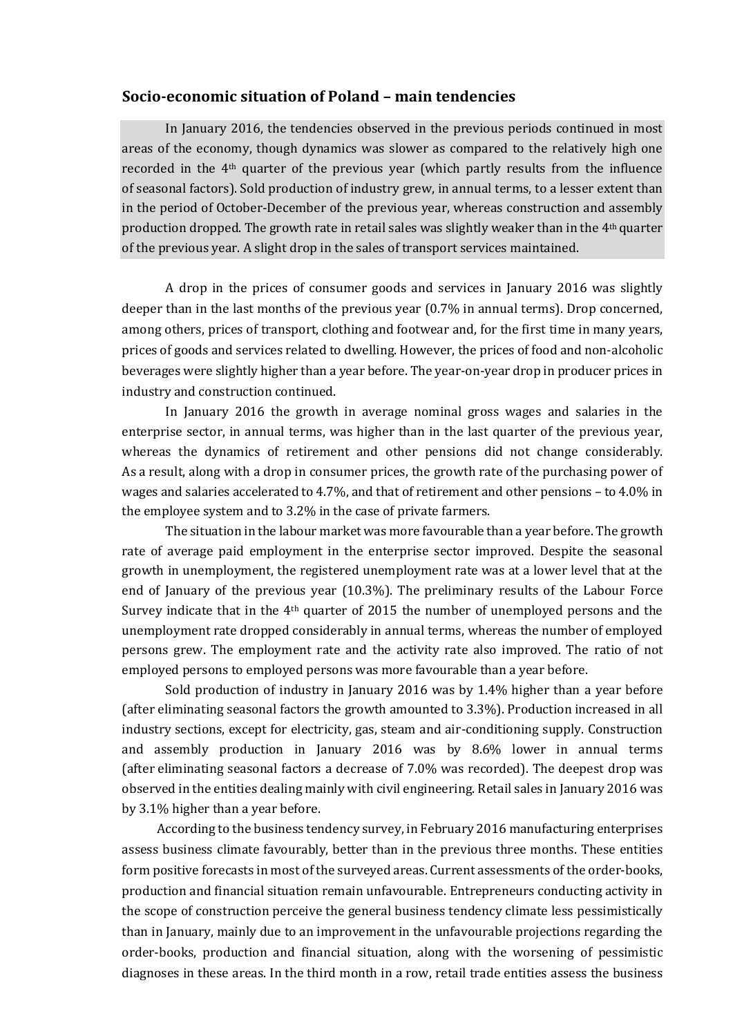## **Socio-economic situation of Poland – main tendencies**

In January 2016, the tendencies observed in the previous periods continued in most areas of the economy, though dynamics was slower as compared to the relatively high one recorded in the 4th quarter of the previous year (which partly results from the influence of seasonal factors). Sold production of industry grew, in annual terms, to a lesser extent than in the period of October-December of the previous year, whereas construction and assembly production dropped. The growth rate in retail sales was slightly weaker than in the 4th quarter of the previous year. A slight drop in the sales of transport services maintained.

A drop in the prices of consumer goods and services in January 2016 was slightly deeper than in the last months of the previous year (0.7% in annual terms). Drop concerned, among others, prices of transport, clothing and footwear and, for the first time in many years, prices of goods and services related to dwelling. However, the prices of food and non-alcoholic beverages were slightly higher than a year before. The year-on-year drop in producer prices in industry and construction continued.

In January 2016 the growth in average nominal gross wages and salaries in the enterprise sector, in annual terms, was higher than in the last quarter of the previous year, whereas the dynamics of retirement and other pensions did not change considerably. As a result, along with a drop in consumer prices, the growth rate of the purchasing power of wages and salaries accelerated to 4.7%, and that of retirement and other pensions – to 4.0% in the employee system and to 3.2% in the case of private farmers.

The situation in the labour market was more favourable than a year before. The growth rate of average paid employment in the enterprise sector improved. Despite the seasonal growth in unemployment, the registered unemployment rate was at a lower level that at the end of January of the previous year (10.3%). The preliminary results of the Labour Force Survey indicate that in the  $4<sup>th</sup>$  quarter of 2015 the number of unemployed persons and the unemployment rate dropped considerably in annual terms, whereas the number of employed persons grew. The employment rate and the activity rate also improved. The ratio of not employed persons to employed persons was more favourable than a year before.

Sold production of industry in January 2016 was by 1.4% higher than a year before (after eliminating seasonal factors the growth amounted to 3.3%). Production increased in all industry sections, except for electricity, gas, steam and air-conditioning supply. Construction and assembly production in January 2016 was by 8.6% lower in annual terms (after eliminating seasonal factors a decrease of 7.0% was recorded). The deepest drop was observed in the entities dealing mainly with civil engineering. Retail sales in January 2016 was by 3.1% higher than a year before.

According to the business tendency survey, in February 2016 manufacturing enterprises assess business climate favourably, better than in the previous three months. These entities form positive forecasts in most of the surveyed areas. Current assessments of the order-books, production and financial situation remain unfavourable. Entrepreneurs conducting activity in the scope of construction perceive the general business tendency climate less pessimistically than in January, mainly due to an improvement in the unfavourable projections regarding the order-books, production and financial situation, along with the worsening of pessimistic diagnoses in these areas. In the third month in a row, retail trade entities assess the business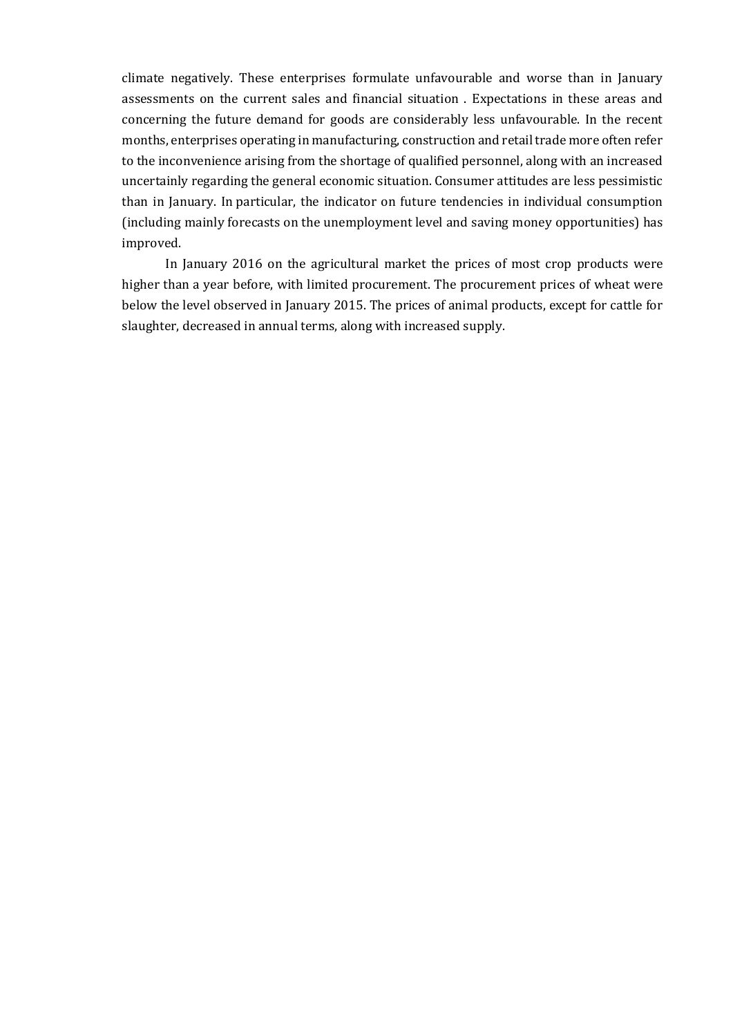climate negatively. These enterprises formulate unfavourable and worse than in January assessments on the current sales and financial situation . Expectations in these areas and concerning the future demand for goods are considerably less unfavourable. In the recent months, enterprises operating in manufacturing, construction and retail trade more often refer to the inconvenience arising from the shortage of qualified personnel, along with an increased uncertainly regarding the general economic situation. Consumer attitudes are less pessimistic than in January. In particular, the indicator on future tendencies in individual consumption (including mainly forecasts on the unemployment level and saving money opportunities) has improved.

In January 2016 on the agricultural market the prices of most crop products were higher than a year before, with limited procurement. The procurement prices of wheat were below the level observed in January 2015. The prices of animal products, except for cattle for slaughter, decreased in annual terms, along with increased supply.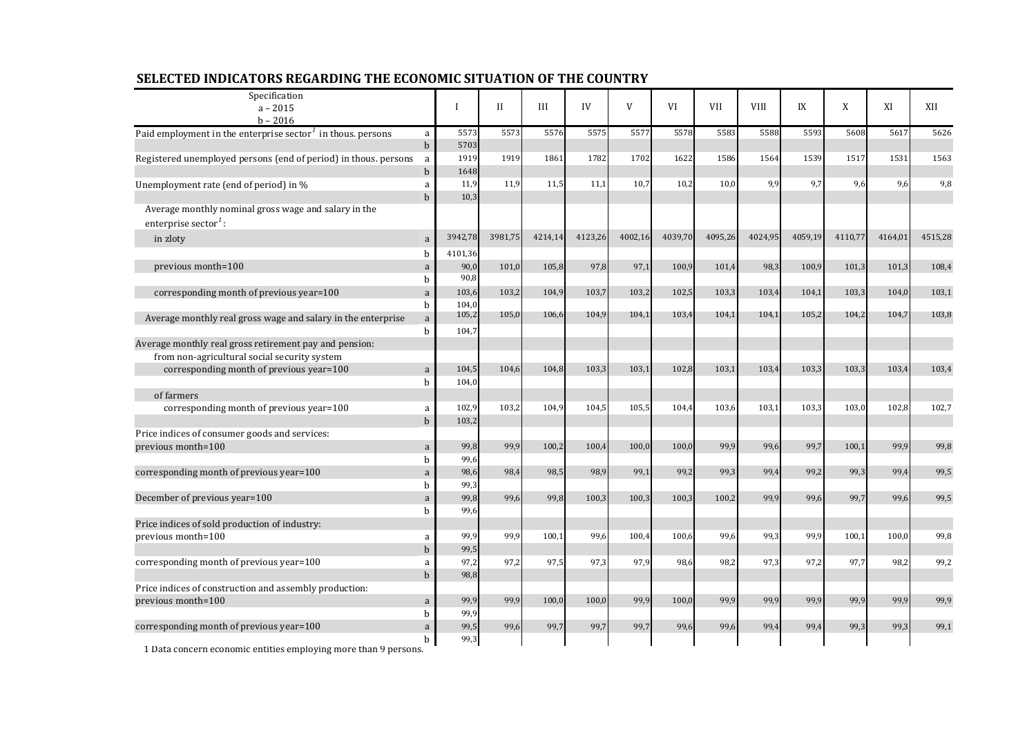| Specification                                                                            |                  |              |             |         |         |         |         |            |             |         |         |         |         |
|------------------------------------------------------------------------------------------|------------------|--------------|-------------|---------|---------|---------|---------|------------|-------------|---------|---------|---------|---------|
| $a - 2015$                                                                               |                  |              | $_{\rm II}$ | III     | IV      | V       | VI      | <b>VII</b> | <b>VIII</b> | IX      | X       | XI      | XII     |
| $b - 2016$                                                                               |                  |              |             |         |         |         |         |            |             |         |         |         |         |
| Paid employment in the enterprise sector <sup>1</sup> in thous. persons                  | a                | 5573         | 5573        | 5576    | 5575    | 5577    | 5578    | 5583       | 5588        | 5593    | 5608    | 5617    | 5626    |
|                                                                                          | $\mathbf b$      | 5703         |             |         |         |         |         |            |             |         |         |         |         |
| Registered unemployed persons (end of period) in thous. persons                          | a                | 1919         | 1919        | 1861    | 1782    | 1702    | 1622    | 1586       | 1564        | 1539    | 1517    | 1531    | 1563    |
|                                                                                          | $\mathbf b$      | 1648<br>11,9 | 11,9        | 11,5    | 11,1    | 10,7    | 10,2    | 10,0       | 9,9         | 9,7     | 9,6     | 9,6     | 9,8     |
| Unemployment rate (end of period) in %                                                   | a<br>$\mathbf b$ | 10,3         |             |         |         |         |         |            |             |         |         |         |         |
| Average monthly nominal gross wage and salary in the<br>enterprise sector <sup>1</sup> : |                  |              |             |         |         |         |         |            |             |         |         |         |         |
| in zloty                                                                                 | a                | 3942,78      | 3981,75     | 4214,14 | 4123,26 | 4002,16 | 4039,70 | 4095,26    | 4024,95     | 4059,19 | 4110,77 | 4164,01 | 4515,28 |
|                                                                                          | h                | 4101,36      |             |         |         |         |         |            |             |         |         |         |         |
| previous month=100                                                                       | a                | 90,0         | 101,0       | 105,8   | 97,8    | 97,1    | 100,9   | 101,4      | 98,3        | 100,9   | 101,3   | 101,3   | 108,4   |
|                                                                                          | b                | 90,8         |             |         |         |         |         |            |             |         |         |         |         |
| corresponding month of previous year=100                                                 | a                | 103,6        | 103,2       | 104,9   | 103,7   | 103,2   | 102,5   | 103,3      | 103,4       | 104,1   | 103,3   | 104.0   | 103,1   |
|                                                                                          | b                | 104,0        |             |         |         |         |         |            |             |         |         |         |         |
| Average monthly real gross wage and salary in the enterprise                             | a                | 105,2        | 105,0       | 106,6   | 104,9   | 104,1   | 103,4   | 104,1      | 104,1       | 105,2   | 104,2   | 104,7   | 103,8   |
|                                                                                          | $\mathbf b$      | 104,7        |             |         |         |         |         |            |             |         |         |         |         |
| Average monthly real gross retirement pay and pension:                                   |                  |              |             |         |         |         |         |            |             |         |         |         |         |
| from non-agricultural social security system                                             |                  |              |             |         |         |         |         |            |             |         |         |         |         |
| corresponding month of previous year=100                                                 | $\mathbf{a}$     | 104,5        | 104,6       | 104,8   | 103,3   | 103,1   | 102,8   | 103,1      | 103,4       | 103,3   | 103,3   | 103,4   | 103,4   |
|                                                                                          | $\mathbf b$      | 104,0        |             |         |         |         |         |            |             |         |         |         |         |
| of farmers                                                                               |                  |              |             |         |         |         |         |            |             |         |         |         |         |
| corresponding month of previous year=100                                                 | a                | 102,9        | 103,2       | 104,9   | 104,5   | 105,5   | 104,4   | 103,6      | 103,1       | 103,3   | 103,0   | 102,8   | 102,7   |
|                                                                                          | $\mathbf b$      | 103,2        |             |         |         |         |         |            |             |         |         |         |         |
| Price indices of consumer goods and services:                                            |                  |              |             |         |         |         |         |            |             |         |         |         |         |
| previous month=100<br>corresponding month of previous year=100                           | a<br>b           | 99,8<br>99,6 | 99,9        | 100,2   | 100,4   | 100,0   | 100,0   | 99,9       | 99,6        | 99,7    | 100,1   | 99,9    | 99,8    |
|                                                                                          | a                | 98,6         | 98,4        | 98,5    | 98,9    | 99,1    | 99,2    | 99,3       | 99,4        | 99,2    | 99,3    | 99,4    | 99,5    |
|                                                                                          | b                | 99,3         |             |         |         |         |         |            |             |         |         |         |         |
| December of previous year=100                                                            | a                | 99,8         | 99,6        | 99,8    | 100,3   | 100,3   | 100,3   | 100,2      | 99,9        | 99,6    | 99.7    | 99,6    | 99,5    |
|                                                                                          | b                | 99,6         |             |         |         |         |         |            |             |         |         |         |         |
| Price indices of sold production of industry:                                            |                  |              |             |         |         |         |         |            |             |         |         |         |         |
| previous month=100                                                                       | a                | 99,9         | 99,9        | 100.1   | 99,6    | 100,4   | 100,6   | 99,6       | 99,3        | 99,9    | 100.1   | 100.0   | 99.8    |
|                                                                                          | $\mathbf b$      | 99,5         |             |         |         |         |         |            |             |         |         |         |         |
| corresponding month of previous year=100                                                 | a                | 97,2         | 97,2        | 97,5    | 97,3    | 97,9    | 98,6    | 98,2       | 97,3        | 97,2    | 97,7    | 98,2    | 99,2    |
|                                                                                          | $\mathbf b$      | 98,8         |             |         |         |         |         |            |             |         |         |         |         |
| Price indices of construction and assembly production:                                   |                  |              |             |         |         |         |         |            |             |         |         |         |         |
| previous month=100                                                                       | a                | 99,9         | 99,9        | 100,0   | 100,0   | 99,9    | 100,0   | 99,9       | 99,9        | 99.9    | 99.9    | 99.9    | 99,9    |
|                                                                                          | b                | 99,9         |             |         |         |         |         |            |             |         |         |         |         |
| corresponding month of previous year=100                                                 | a                | 99,5         | 99,6        | 99,7    | 99,7    | 99,7    | 99,6    | 99,6       | 99,4        | 99,4    | 99,3    | 99,3    | 99,1    |
|                                                                                          | b                | 99,3         |             |         |         |         |         |            |             |         |         |         |         |

## **SELECTED INDICATORS REGARDING THE ECONOMIC SITUATION OF THE COUNTRY**

1 Data concern economic entities employing more than 9 persons.